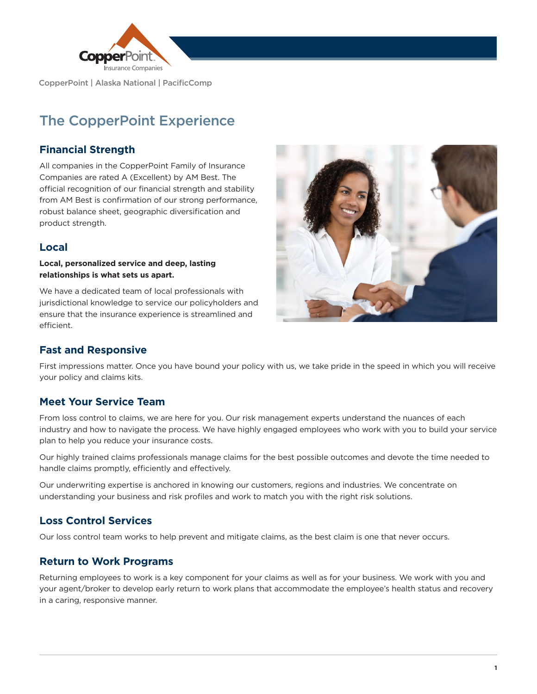

CopperPoint | Alaska National | PacificComp

# The CopperPoint Experience

# **Financial Strength**

All companies in the CopperPoint Family of Insurance Companies are rated A (Excellent) by AM Best. The official recognition of our financial strength and stability from AM Best is confirmation of our strong performance, robust balance sheet, geographic diversification and product strength.

## **Local**

#### **Local, personalized service and deep, lasting relationships is what sets us apart.**

We have a dedicated team of local professionals with jurisdictional knowledge to service our policyholders and ensure that the insurance experience is streamlined and efficient.



# **Fast and Responsive**

First impressions matter. Once you have bound your policy with us, we take pride in the speed in which you will receive your policy and claims kits.

# **Meet Your Service Team**

From loss control to claims, we are here for you. Our risk management experts understand the nuances of each industry and how to navigate the process. We have highly engaged employees who work with you to build your service plan to help you reduce your insurance costs.

Our highly trained claims professionals manage claims for the best possible outcomes and devote the time needed to handle claims promptly, efficiently and effectively.

Our underwriting expertise is anchored in knowing our customers, regions and industries. We concentrate on understanding your business and risk profiles and work to match you with the right risk solutions.

# **Loss Control Services**

Our loss control team works to help prevent and mitigate claims, as the best claim is one that never occurs.

## **Return to Work Programs**

Returning employees to work is a key component for your claims as well as for your business. We work with you and your agent/broker to develop early return to work plans that accommodate the employee's health status and recovery in a caring, responsive manner.